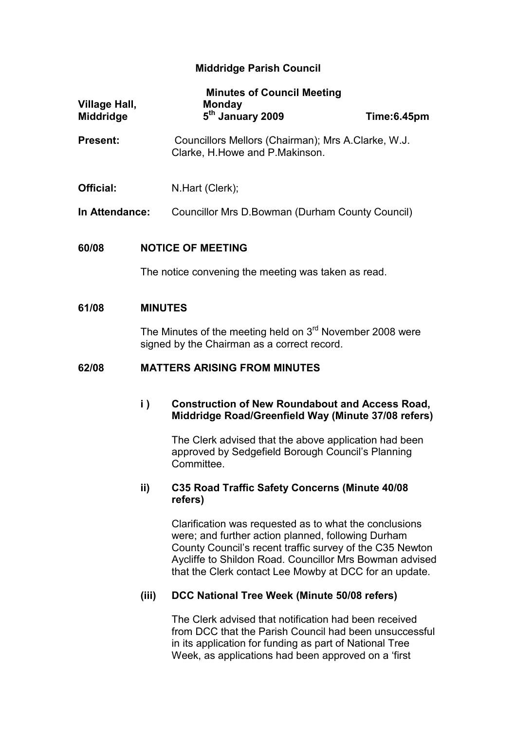# Middridge Parish Council

| <b>Minutes of Council Meeting</b><br><b>Village Hall,</b><br><b>Monday</b> |                                                                                                            |                                                                                                                                                                                                                                                                                               |             |  |
|----------------------------------------------------------------------------|------------------------------------------------------------------------------------------------------------|-----------------------------------------------------------------------------------------------------------------------------------------------------------------------------------------------------------------------------------------------------------------------------------------------|-------------|--|
| <b>Middridge</b>                                                           |                                                                                                            | 5 <sup>th</sup> January 2009                                                                                                                                                                                                                                                                  | Time:6.45pm |  |
| <b>Present:</b>                                                            |                                                                                                            | Councillors Mellors (Chairman); Mrs A.Clarke, W.J.<br>Clarke, H. Howe and P. Makinson.                                                                                                                                                                                                        |             |  |
| Official:                                                                  |                                                                                                            | N.Hart (Clerk);                                                                                                                                                                                                                                                                               |             |  |
| In Attendance:                                                             |                                                                                                            | Councillor Mrs D. Bowman (Durham County Council)                                                                                                                                                                                                                                              |             |  |
| <b>NOTICE OF MEETING</b><br>60/08                                          |                                                                                                            |                                                                                                                                                                                                                                                                                               |             |  |
|                                                                            |                                                                                                            | The notice convening the meeting was taken as read.                                                                                                                                                                                                                                           |             |  |
| 61/08                                                                      | <b>MINUTES</b>                                                                                             |                                                                                                                                                                                                                                                                                               |             |  |
|                                                                            | The Minutes of the meeting held on $3rd$ November 2008 were<br>signed by the Chairman as a correct record. |                                                                                                                                                                                                                                                                                               |             |  |
| 62/08                                                                      | <b>MATTERS ARISING FROM MINUTES</b>                                                                        |                                                                                                                                                                                                                                                                                               |             |  |
|                                                                            | $\mathbf{i}$ )                                                                                             | <b>Construction of New Roundabout and Access Road,</b><br>Middridge Road/Greenfield Way (Minute 37/08 refers)                                                                                                                                                                                 |             |  |
|                                                                            |                                                                                                            | The Clerk advised that the above application had been<br>approved by Sedgefield Borough Council's Planning<br>Committee.                                                                                                                                                                      |             |  |
|                                                                            | ii)                                                                                                        | C35 Road Traffic Safety Concerns (Minute 40/08<br>refers)                                                                                                                                                                                                                                     |             |  |
|                                                                            |                                                                                                            | Clarification was requested as to what the conclusions<br>were; and further action planned, following Durham<br>County Council's recent traffic survey of the C35 Newton<br>Aycliffe to Shildon Road. Councillor Mrs Bowman advised<br>that the Clerk contact Lee Mowby at DCC for an update. |             |  |
|                                                                            | (iii)                                                                                                      | DCC National Tree Week (Minute 50/08 refers)                                                                                                                                                                                                                                                  |             |  |
|                                                                            |                                                                                                            | The Clerk advised that notification had been received<br>from DCC that the Parish Council had been unsuccessful<br>in its application for funding as part of National Tree<br>Week, as applications had been approved on a 'first                                                             |             |  |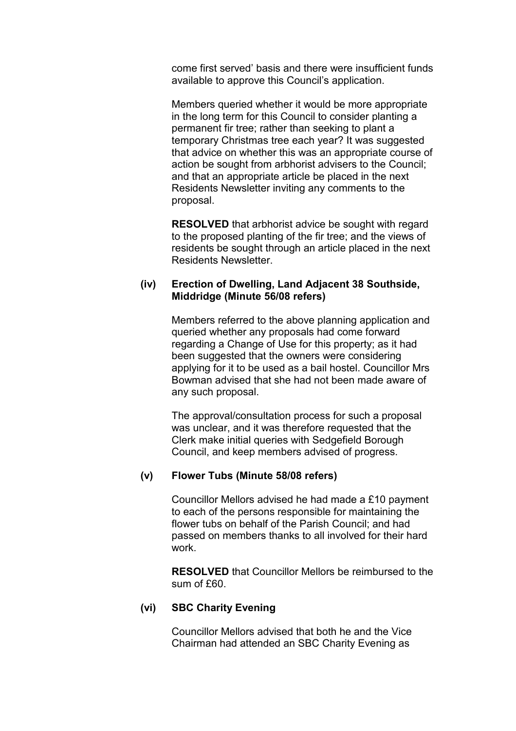come first served' basis and there were insufficient funds available to approve this Council's application.

Members queried whether it would be more appropriate in the long term for this Council to consider planting a permanent fir tree; rather than seeking to plant a temporary Christmas tree each year? It was suggested that advice on whether this was an appropriate course of action be sought from arbhorist advisers to the Council; and that an appropriate article be placed in the next Residents Newsletter inviting any comments to the proposal.

RESOLVED that arbhorist advice be sought with regard to the proposed planting of the fir tree; and the views of residents be sought through an article placed in the next Residents Newsletter.

# (iv) Erection of Dwelling, Land Adjacent 38 Southside, Middridge (Minute 56/08 refers)

Members referred to the above planning application and queried whether any proposals had come forward regarding a Change of Use for this property; as it had been suggested that the owners were considering applying for it to be used as a bail hostel. Councillor Mrs Bowman advised that she had not been made aware of any such proposal.

The approval/consultation process for such a proposal was unclear, and it was therefore requested that the Clerk make initial queries with Sedgefield Borough Council, and keep members advised of progress.

# (v) Flower Tubs (Minute 58/08 refers)

Councillor Mellors advised he had made a £10 payment to each of the persons responsible for maintaining the flower tubs on behalf of the Parish Council; and had passed on members thanks to all involved for their hard work.

RESOLVED that Councillor Mellors be reimbursed to the sum of £60.

# (vi) SBC Charity Evening

Councillor Mellors advised that both he and the Vice Chairman had attended an SBC Charity Evening as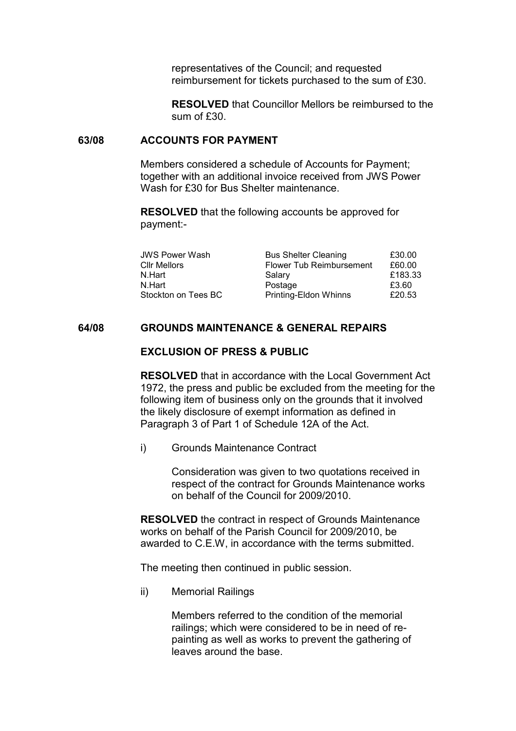representatives of the Council; and requested reimbursement for tickets purchased to the sum of £30.

RESOLVED that Councillor Mellors be reimbursed to the sum of £30.

## 63/08 ACCOUNTS FOR PAYMENT

Members considered a schedule of Accounts for Payment; together with an additional invoice received from JWS Power Wash for £30 for Bus Shelter maintenance

RESOLVED that the following accounts be approved for payment:-

| <b>JWS Power Wash</b> | <b>Bus Shelter Cleaning</b> | £30.00  |
|-----------------------|-----------------------------|---------|
| Cllr Mellors          | Flower Tub Reimbursement    | £60.00  |
| N.Hart                | Salary                      | £183.33 |
| N.Hart                | Postage                     | £3.60   |
| Stockton on Tees BC   | Printing-Eldon Whinns       | £20.53  |

# 64/08 GROUNDS MAINTENANCE & GENERAL REPAIRS

#### EXCLUSION OF PRESS & PUBLIC

RESOLVED that in accordance with the Local Government Act 1972, the press and public be excluded from the meeting for the following item of business only on the grounds that it involved the likely disclosure of exempt information as defined in Paragraph 3 of Part 1 of Schedule 12A of the Act.

i) Grounds Maintenance Contract

Consideration was given to two quotations received in respect of the contract for Grounds Maintenance works on behalf of the Council for 2009/2010.

RESOLVED the contract in respect of Grounds Maintenance works on behalf of the Parish Council for 2009/2010, be awarded to C.E.W, in accordance with the terms submitted.

The meeting then continued in public session.

ii) Memorial Railings

Members referred to the condition of the memorial railings; which were considered to be in need of repainting as well as works to prevent the gathering of leaves around the base.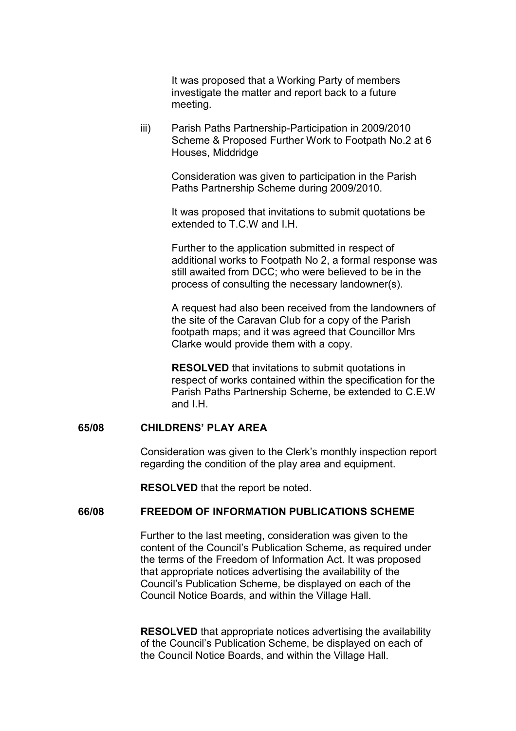It was proposed that a Working Party of members investigate the matter and report back to a future meeting.

iii) Parish Paths Partnership-Participation in 2009/2010 Scheme & Proposed Further Work to Footpath No.2 at 6 Houses, Middridge

> Consideration was given to participation in the Parish Paths Partnership Scheme during 2009/2010.

It was proposed that invitations to submit quotations be extended to T.C.W and I.H.

Further to the application submitted in respect of additional works to Footpath No 2, a formal response was still awaited from DCC; who were believed to be in the process of consulting the necessary landowner(s).

A request had also been received from the landowners of the site of the Caravan Club for a copy of the Parish footpath maps; and it was agreed that Councillor Mrs Clarke would provide them with a copy.

RESOLVED that invitations to submit quotations in respect of works contained within the specification for the Parish Paths Partnership Scheme, be extended to C.E.W and I.H.

# 65/08 CHILDRENS' PLAY AREA

Consideration was given to the Clerk's monthly inspection report regarding the condition of the play area and equipment.

RESOLVED that the report be noted.

#### 66/08 FREEDOM OF INFORMATION PUBLICATIONS SCHEME

Further to the last meeting, consideration was given to the content of the Council's Publication Scheme, as required under the terms of the Freedom of Information Act. It was proposed that appropriate notices advertising the availability of the Council's Publication Scheme, be displayed on each of the Council Notice Boards, and within the Village Hall.

RESOLVED that appropriate notices advertising the availability of the Council's Publication Scheme, be displayed on each of the Council Notice Boards, and within the Village Hall.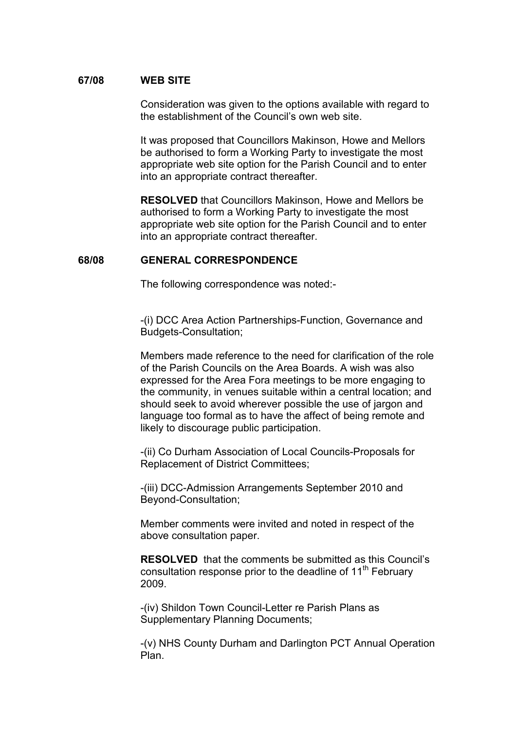## 67/08 WEB SITE

Consideration was given to the options available with regard to the establishment of the Council's own web site.

 It was proposed that Councillors Makinson, Howe and Mellors be authorised to form a Working Party to investigate the most appropriate web site option for the Parish Council and to enter into an appropriate contract thereafter.

RESOLVED that Councillors Makinson, Howe and Mellors be authorised to form a Working Party to investigate the most appropriate web site option for the Parish Council and to enter into an appropriate contract thereafter.

#### 68/08 GENERAL CORRESPONDENCE

The following correspondence was noted:-

-(i) DCC Area Action Partnerships-Function, Governance and Budgets-Consultation;

Members made reference to the need for clarification of the role of the Parish Councils on the Area Boards. A wish was also expressed for the Area Fora meetings to be more engaging to the community, in venues suitable within a central location; and should seek to avoid wherever possible the use of jargon and language too formal as to have the affect of being remote and likely to discourage public participation.

-(ii) Co Durham Association of Local Councils-Proposals for Replacement of District Committees;

-(iii) DCC-Admission Arrangements September 2010 and Beyond-Consultation;

Member comments were invited and noted in respect of the above consultation paper.

RESOLVED that the comments be submitted as this Council's consultation response prior to the deadline of 11<sup>th</sup> February 2009.

-(iv) Shildon Town Council-Letter re Parish Plans as Supplementary Planning Documents;

-(v) NHS County Durham and Darlington PCT Annual Operation Plan.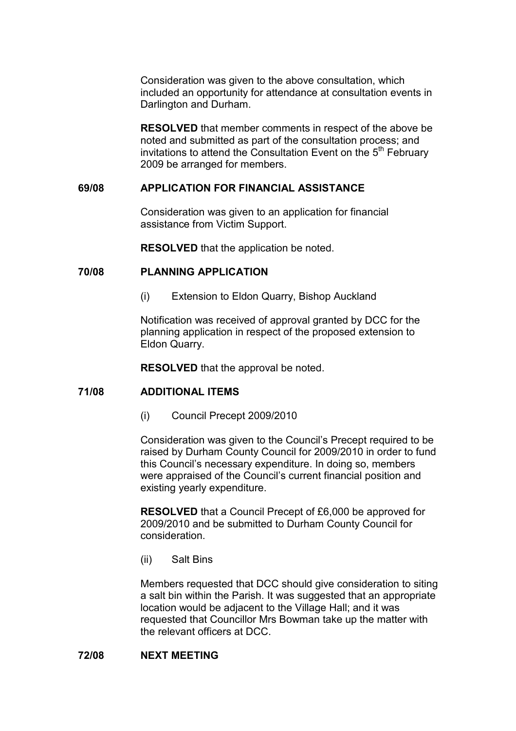Consideration was given to the above consultation, which included an opportunity for attendance at consultation events in Darlington and Durham.

RESOLVED that member comments in respect of the above be noted and submitted as part of the consultation process; and invitations to attend the Consultation Event on the  $5<sup>th</sup>$  February 2009 be arranged for members.

## 69/08 APPLICATION FOR FINANCIAL ASSISTANCE

Consideration was given to an application for financial assistance from Victim Support.

RESOLVED that the application be noted.

## 70/08 PLANNING APPLICATION

(i) Extension to Eldon Quarry, Bishop Auckland

Notification was received of approval granted by DCC for the planning application in respect of the proposed extension to Eldon Quarry.

RESOLVED that the approval be noted.

## 71/08 ADDITIONAL ITEMS

(i) Council Precept 2009/2010

Consideration was given to the Council's Precept required to be raised by Durham County Council for 2009/2010 in order to fund this Council's necessary expenditure. In doing so, members were appraised of the Council's current financial position and existing yearly expenditure.

RESOLVED that a Council Precept of £6,000 be approved for 2009/2010 and be submitted to Durham County Council for consideration.

(ii) Salt Bins

Members requested that DCC should give consideration to siting a salt bin within the Parish. It was suggested that an appropriate location would be adjacent to the Village Hall; and it was requested that Councillor Mrs Bowman take up the matter with the relevant officers at DCC.

## 72/08 NEXT MEETING